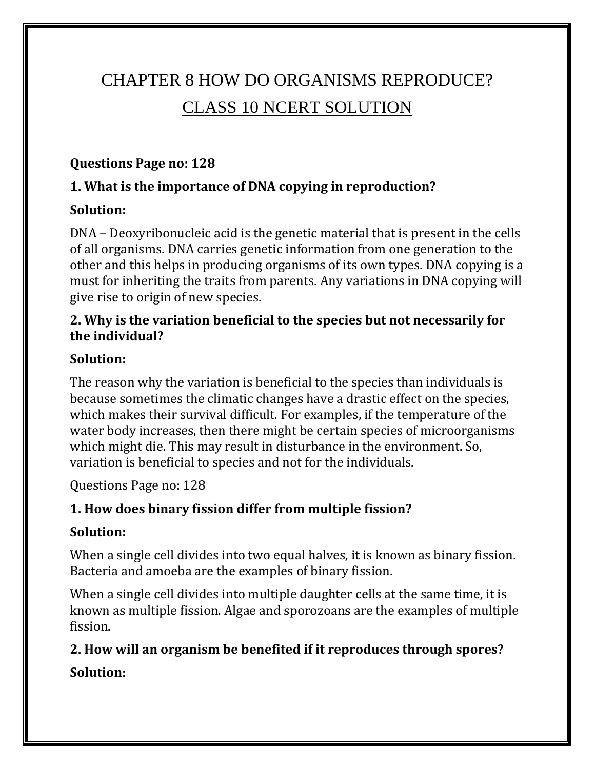# CHAPTER 8 HOW DO ORGANISMS REPRODUCE? CLASS 10 NCERT SOLUTION

#### **Questions Page no: 128**

#### **1. What is the importance of DNA copying in reproduction?**

#### **Solution:**

DNA – Deoxyribonucleic acid is the genetic material that is present in the cells of all organisms. DNA carries genetic information from one generation to the other and this helps in producing organisms of its own types. DNA copying is a must for inheriting the traits from parents. Any variations in DNA copying will give rise to origin of new species.

#### **2. Why is the variation beneficial to the species but not necessarily for the individual?**

### **Solution:**

The reason why the variation is beneficial to the species than individuals is because sometimes the climatic changes have a drastic effect on the species, which makes their survival difficult. For examples, if the temperature of the water body increases, then there might be certain species of microorganisms which might die. This may result in disturbance in the environment. So, variation is beneficial to species and not for the individuals.

Questions Page no: 128

# **1. How does binary fission differ from multiple fission?**

### **Solution:**

When a single cell divides into two equal halves, it is known as binary fission. Bacteria and amoeba are the examples of binary fission.

When a single cell divides into multiple daughter cells at the same time, it is known as multiple fission. Algae and sporozoans are the examples of multiple fission.

### **2. How will an organism be benefited if it reproduces through spores?**

### **Solution:**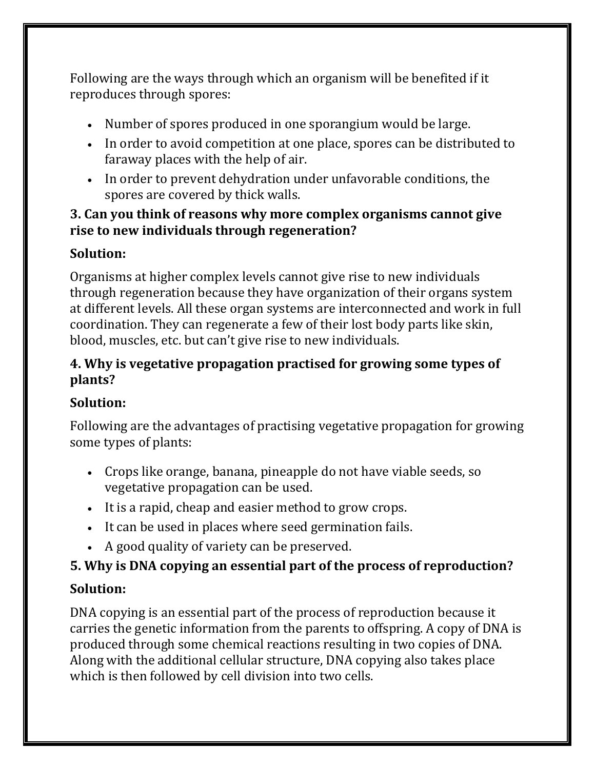Following are the ways through which an organism will be benefited if it reproduces through spores:

- Number of spores produced in one sporangium would be large.
- In order to avoid competition at one place, spores can be distributed to faraway places with the help of air.
- In order to prevent dehydration under unfavorable conditions, the spores are covered by thick walls.

#### **3. Can you think of reasons why more complex organisms cannot give rise to new individuals through regeneration?**

### **Solution:**

Organisms at higher complex levels cannot give rise to new individuals through regeneration because they have organization of their organs system at different levels. All these organ systems are interconnected and work in full coordination. They can regenerate a few of their lost body parts like skin, blood, muscles, etc. but can't give rise to new individuals.

#### **4. Why is vegetative propagation practised for growing some types of plants?**

### **Solution:**

Following are the advantages of practising vegetative propagation for growing some types of plants:

- Crops like orange, banana, pineapple do not have viable seeds, so vegetative propagation can be used.
- It is a rapid, cheap and easier method to grow crops.
- It can be used in places where seed germination fails.
- A good quality of variety can be preserved.

# **5. Why is DNA copying an essential part of the process of reproduction?**

### **Solution:**

DNA copying is an essential part of the process of reproduction because it carries the genetic information from the parents to offspring. A copy of DNA is produced through some chemical reactions resulting in two copies of DNA. Along with the additional cellular structure, DNA copying also takes place which is then followed by cell division into two cells.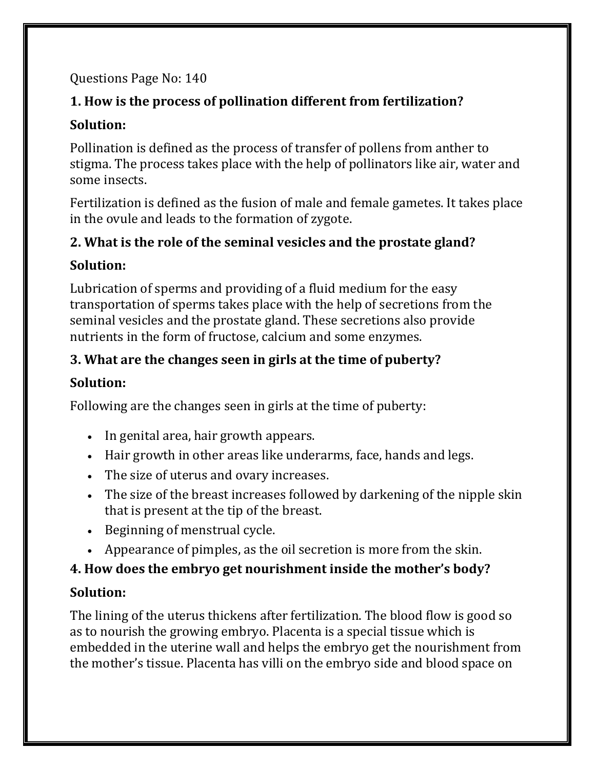### Questions Page No: 140

# **1. How is the process of pollination different from fertilization?**

### **Solution:**

Pollination is defined as the process of transfer of pollens from anther to stigma. The process takes place with the help of pollinators like air, water and some insects.

Fertilization is defined as the fusion of male and female gametes. It takes place in the ovule and leads to the formation of zygote.

#### **2. What is the role of the seminal vesicles and the prostate gland?**

### **Solution:**

Lubrication of sperms and providing of a fluid medium for the easy transportation of sperms takes place with the help of secretions from the seminal vesicles and the prostate gland. These secretions also provide nutrients in the form of fructose, calcium and some enzymes.

# **3. What are the changes seen in girls at the time of puberty?**

# **Solution:**

Following are the changes seen in girls at the time of puberty:

- In genital area, hair growth appears.
- Hair growth in other areas like underarms, face, hands and legs.
- The size of uterus and ovary increases.
- The size of the breast increases followed by darkening of the nipple skin that is present at the tip of the breast.
- Beginning of menstrual cycle.
- Appearance of pimples, as the oil secretion is more from the skin.

# **4. How does the embryo get nourishment inside the mother's body?**

# **Solution:**

The lining of the uterus thickens after fertilization. The blood flow is good so as to nourish the growing embryo. Placenta is a special tissue which is embedded in the uterine wall and helps the embryo get the nourishment from the mother's tissue. Placenta has villi on the embryo side and blood space on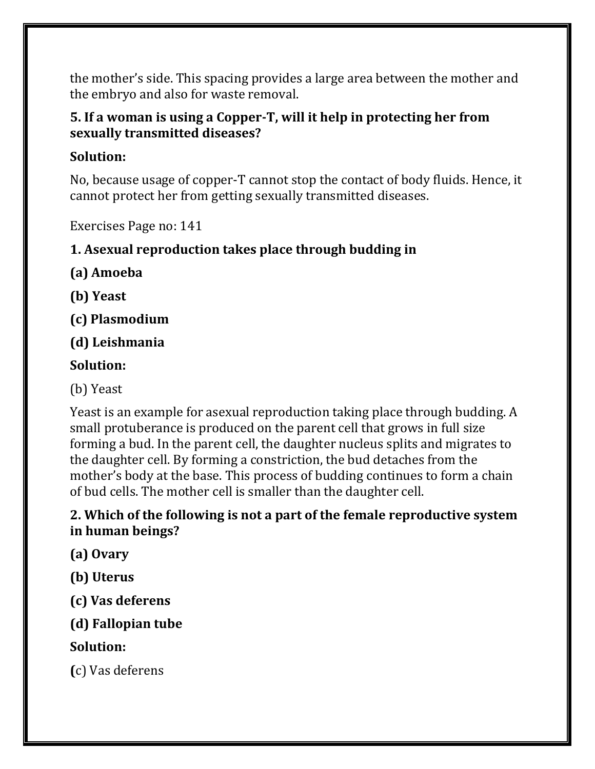the mother's side. This spacing provides a large area between the mother and the embryo and also for waste removal.

#### **5. If a woman is using a Copper-T, will it help in protecting her from sexually transmitted diseases?**

#### **Solution:**

No, because usage of copper-T cannot stop the contact of body fluids. Hence, it cannot protect her from getting sexually transmitted diseases.

Exercises Page no: 141

# **1. Asexual reproduction takes place through budding in**

**(a) Amoeba**

- **(b) Yeast**
- **(c) Plasmodium**
- **(d) Leishmania**

# **Solution:**

(b) Yeast

Yeast is an example for asexual reproduction taking place through budding. A small protuberance is produced on the parent cell that grows in full size forming a bud. In the parent cell, the daughter nucleus splits and migrates to the daughter cell. By forming a constriction, the bud detaches from the mother's body at the base. This process of budding continues to form a chain of bud cells. The mother cell is smaller than the daughter cell.

#### **2. Which of the following is not a part of the female reproductive system in human beings?**

**(a) Ovary**

**(b) Uterus**

**(c) Vas deferens**

# **(d) Fallopian tube**

# **Solution:**

**(**c) Vas deferens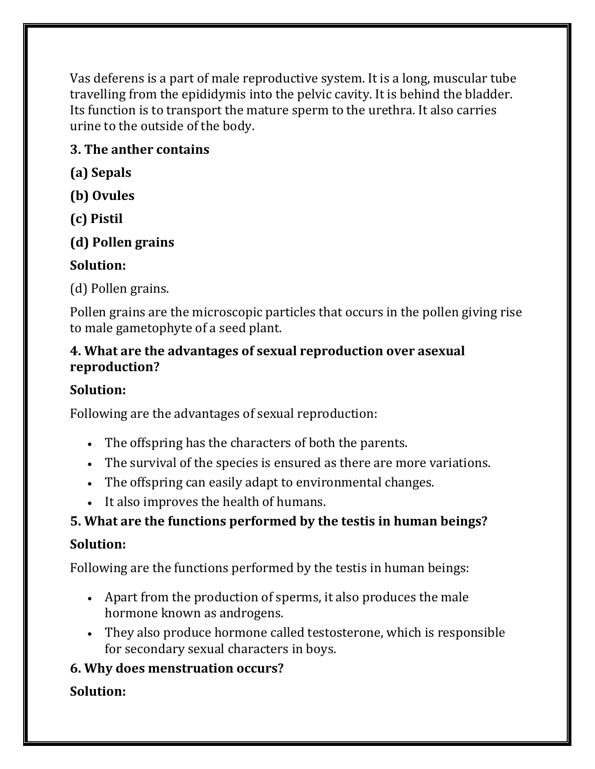Vas deferens is a part of male reproductive system. It is a long, muscular tube travelling from the epididymis into the pelvic cavity. It is behind the bladder. Its function is to transport the mature sperm to the urethra. It also carries urine to the outside of the body.

## **3. The anther contains**

- **(a) Sepals**
- **(b) Ovules**
- **(c) Pistil**
- **(d) Pollen grains**

# **Solution:**

(d) Pollen grains.

Pollen grains are the microscopic particles that occurs in the pollen giving rise to male gametophyte of a seed plant.

#### **4. What are the advantages of sexual reproduction over asexual reproduction?**

### **Solution:**

Following are the advantages of sexual reproduction:

- The offspring has the characters of both the parents.
- The survival of the species is ensured as there are more variations.
- The offspring can easily adapt to environmental changes.
- It also improves the health of humans.

# **5. What are the functions performed by the testis in human beings?**

# **Solution:**

Following are the functions performed by the testis in human beings:

- Apart from the production of sperms, it also produces the male hormone known as androgens.
- They also produce hormone called testosterone, which is responsible for secondary sexual characters in boys.

# **6. Why does menstruation occurs?**

# **Solution:**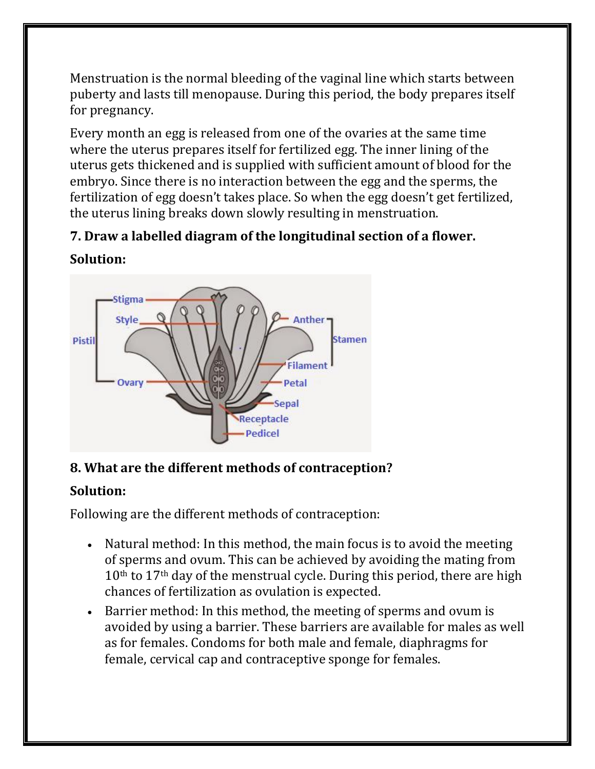Menstruation is the normal bleeding of the vaginal line which starts between puberty and lasts till menopause. During this period, the body prepares itself for pregnancy.

Every month an egg is released from one of the ovaries at the same time where the uterus prepares itself for fertilized egg. The inner lining of the uterus gets thickened and is supplied with sufficient amount of blood for the embryo. Since there is no interaction between the egg and the sperms, the fertilization of egg doesn't takes place. So when the egg doesn't get fertilized, the uterus lining breaks down slowly resulting in menstruation.

# **7. Draw a labelled diagram of the longitudinal section of a flower.**



#### **Solution:**

### **8. What are the different methods of contraception?**

#### **Solution:**

Following are the different methods of contraception:

- Natural method: In this method, the main focus is to avoid the meeting of sperms and ovum. This can be achieved by avoiding the mating from  $10<sup>th</sup>$  to  $17<sup>th</sup>$  day of the menstrual cycle. During this period, there are high chances of fertilization as ovulation is expected.
- Barrier method: In this method, the meeting of sperms and ovum is avoided by using a barrier. These barriers are available for males as well as for females. Condoms for both male and female, diaphragms for female, cervical cap and contraceptive sponge for females.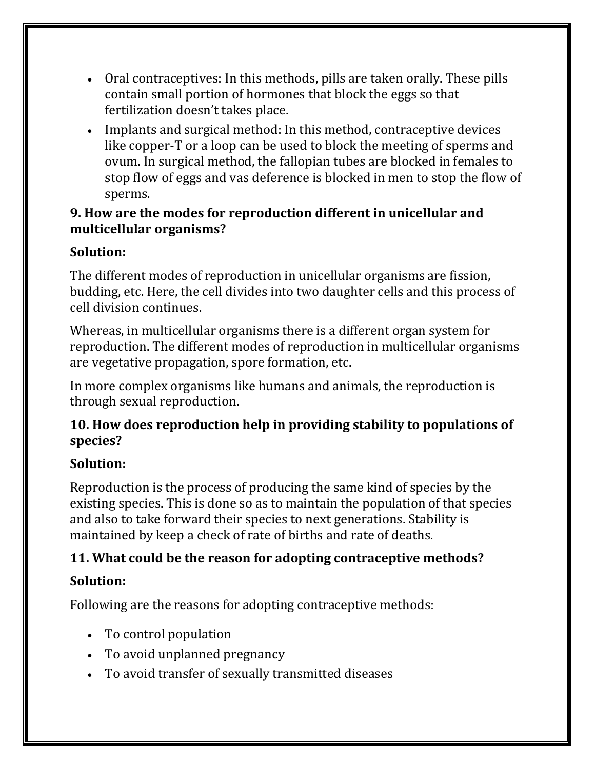- Oral contraceptives: In this methods, pills are taken orally. These pills contain small portion of hormones that block the eggs so that fertilization doesn't takes place.
- Implants and surgical method: In this method, contraceptive devices like copper-T or a loop can be used to block the meeting of sperms and ovum. In surgical method, the fallopian tubes are blocked in females to stop flow of eggs and vas deference is blocked in men to stop the flow of sperms.

#### **9. How are the modes for reproduction different in unicellular and multicellular organisms?**

# **Solution:**

The different modes of reproduction in unicellular organisms are fission, budding, etc. Here, the cell divides into two daughter cells and this process of cell division continues.

Whereas, in multicellular organisms there is a different organ system for reproduction. The different modes of reproduction in multicellular organisms are vegetative propagation, spore formation, etc.

In more complex organisms like humans and animals, the reproduction is through sexual reproduction.

#### **10. How does reproduction help in providing stability to populations of species?**

# **Solution:**

Reproduction is the process of producing the same kind of species by the existing species. This is done so as to maintain the population of that species and also to take forward their species to next generations. Stability is maintained by keep a check of rate of births and rate of deaths.

# **11. What could be the reason for adopting contraceptive methods?**

# **Solution:**

Following are the reasons for adopting contraceptive methods:

- To control population
- To avoid unplanned pregnancy
- To avoid transfer of sexually transmitted diseases